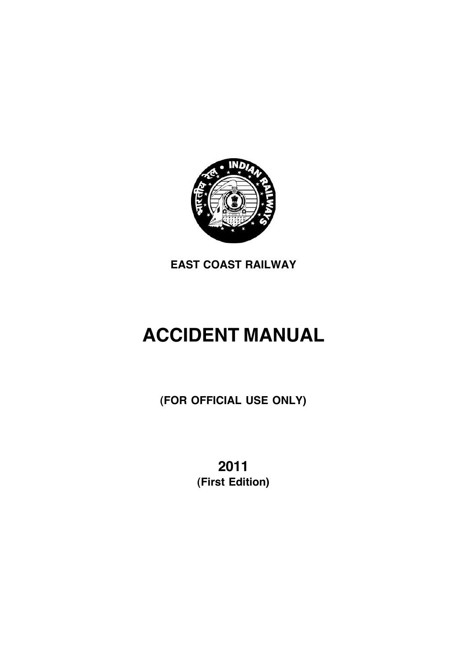

**EAST COAST RAILWAY**

# **ACCIDENT MANUAL**

**(FOR OFFICIAL USE ONLY)**

**2011 (First Edition)**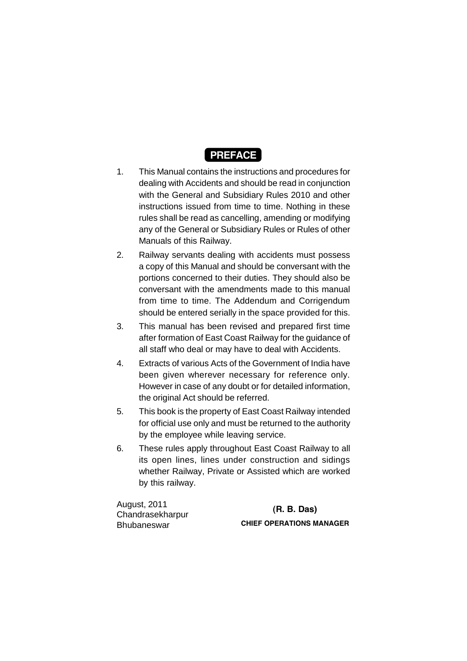

- 1. This Manual contains the instructions and procedures for dealing with Accidents and should be read in conjunction with the General and Subsidiary Rules 2010 and other instructions issued from time to time. Nothing in these rules shall be read as cancelling, amending or modifying any of the General or Subsidiary Rules or Rules of other Manuals of this Railway.
- 2. Railway servants dealing with accidents must possess a copy of this Manual and should be conversant with the portions concerned to their duties. They should also be conversant with the amendments made to this manual from time to time. The Addendum and Corrigendum should be entered serially in the space provided for this.
- 3. This manual has been revised and prepared first time after formation of East Coast Railway for the guidance of all staff who deal or may have to deal with Accidents.
- 4. Extracts of various Acts of the Government of India have been given wherever necessary for reference only. However in case of any doubt or for detailed information, the original Act should be referred.
- 5. This book is the property of East Coast Railway intended for official use only and must be returned to the authority by the employee while leaving service.
- 6. These rules apply throughout East Coast Railway to all its open lines, lines under construction and sidings whether Railway, Private or Assisted which are worked by this railway.

August, 2011 Chandrasekharpur Bhubaneswar

**(R. B. Das) CHIEF OPERATIONS MANAGER**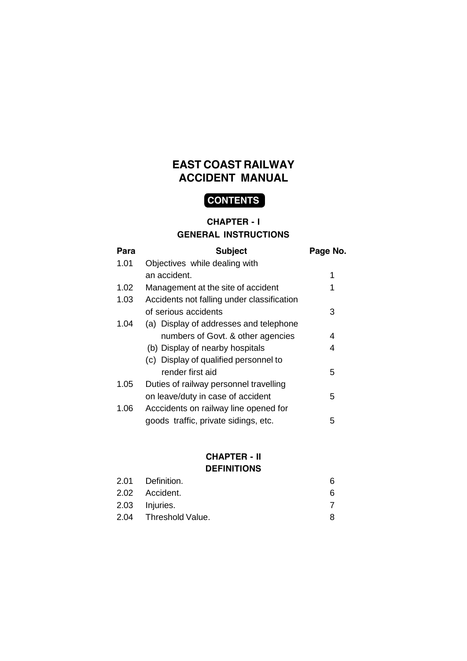# **EAST COAST RAILWAY ACCIDENT MANUAL**

# **CONTENTS**

#### **CHAPTER - I**

#### **GENERAL INSTRUCTIONS**

| Para | <b>Subject</b>                             | Page No. |
|------|--------------------------------------------|----------|
| 1.01 | Objectives while dealing with              |          |
|      | an accident.                               | 1        |
| 1.02 | Management at the site of accident         | 1        |
| 1.03 | Accidents not falling under classification |          |
|      | of serious accidents                       | 3        |
| 1.04 | (a) Display of addresses and telephone     |          |
|      | numbers of Govt. & other agencies          | 4        |
|      | (b) Display of nearby hospitals            | 4        |
|      | (c) Display of qualified personnel to      |          |
|      | render first aid                           | 5        |
| 1.05 | Duties of railway personnel travelling     |          |
|      | on leave/duty in case of accident          | 5        |
| 1.06 | Acccidents on railway line opened for      |          |
|      | goods traffic, private sidings, etc.       | 5        |

#### **CHAPTER - II DEFINITIONS**

| 2.01 Definition.      | 6 |
|-----------------------|---|
| 2.02 Accident.        | 6 |
| 2.03 Injuries.        |   |
| 2.04 Threshold Value. | 8 |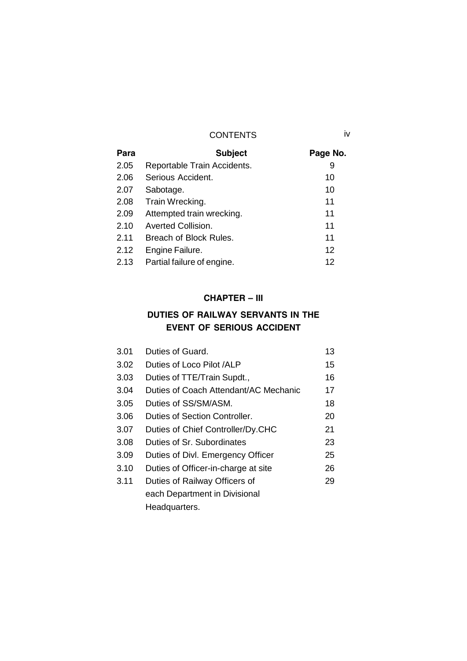| Para | <b>Subject</b>              | Page No.          |
|------|-----------------------------|-------------------|
| 2.05 | Reportable Train Accidents. | 9                 |
| 2.06 | Serious Accident.           | 10                |
| 2.07 | Sabotage.                   | 10                |
| 2.08 | Train Wrecking.             | 11                |
| 2.09 | Attempted train wrecking.   | 11                |
| 2.10 | <b>Averted Collision.</b>   | 11                |
| 2.11 | Breach of Block Rules.      | 11                |
| 2.12 | Engine Failure.             | $12 \overline{ }$ |
| 2.13 | Partial failure of engine.  | 12                |

## **CHAPTER – III**

# **DUTIES OF RAILWAY SERVANTS IN THE EVENT OF SERIOUS ACCIDENT**

| 3.01 | Duties of Guard.                      | 13 |
|------|---------------------------------------|----|
| 3.02 | Duties of Loco Pilot /ALP             | 15 |
| 3.03 | Duties of TTE/Train Supdt.,           | 16 |
| 3.04 | Duties of Coach Attendant/AC Mechanic | 17 |
| 3.05 | Duties of SS/SM/ASM.                  | 18 |
| 3.06 | Duties of Section Controller.         | 20 |
| 3.07 | Duties of Chief Controller/Dy.CHC     | 21 |
| 3.08 | Duties of Sr. Subordinates            | 23 |
| 3.09 | Duties of Divl. Emergency Officer     | 25 |
| 3.10 | Duties of Officer-in-charge at site   | 26 |
| 3.11 | Duties of Railway Officers of         | 29 |
|      | each Department in Divisional         |    |
|      | Headquarters.                         |    |
|      |                                       |    |

iv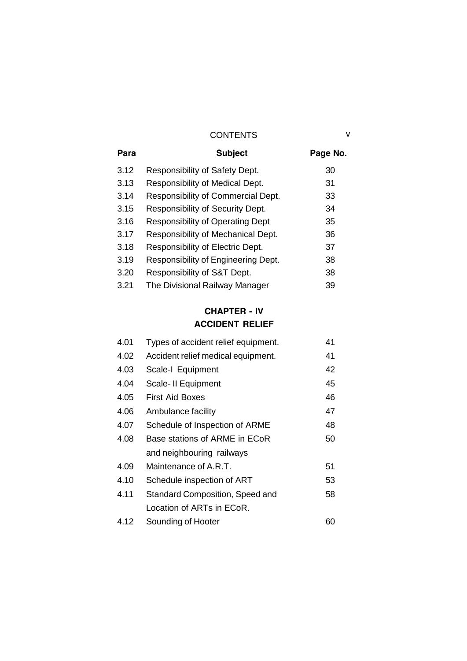| Para | <b>Subject</b>                          | Page No. |
|------|-----------------------------------------|----------|
| 3.12 | Responsibility of Safety Dept.          | 30       |
| 3.13 | Responsibility of Medical Dept.         | 31       |
| 3.14 | Responsibility of Commercial Dept.      | 33       |
| 3.15 | Responsibility of Security Dept.        | 34       |
| 3.16 | <b>Responsibility of Operating Dept</b> | 35       |
| 3.17 | Responsibility of Mechanical Dept.      | 36       |
| 3.18 | Responsibility of Electric Dept.        | 37       |
| 3.19 | Responsibility of Engineering Dept.     | 38       |
| 3.20 | Responsibility of S&T Dept.             | 38       |
| 3.21 | The Divisional Railway Manager          | 39       |

# **CHAPTER - IV ACCIDENT RELIEF**

| 4.01 | Types of accident relief equipment.    | 41 |  |
|------|----------------------------------------|----|--|
| 4.02 | Accident relief medical equipment.     | 41 |  |
| 4.03 | Scale-I Equipment                      | 42 |  |
| 4.04 | Scale- II Equipment                    | 45 |  |
| 4.05 | <b>First Aid Boxes</b>                 | 46 |  |
| 4.06 | Ambulance facility                     | 47 |  |
| 4.07 | Schedule of Inspection of ARME         | 48 |  |
| 4.08 | Base stations of ARME in ECoR          | 50 |  |
|      | and neighbouring railways              |    |  |
| 4.09 | Maintenance of A.R.T.                  | 51 |  |
| 4.10 | Schedule inspection of ART             | 53 |  |
| 4.11 | <b>Standard Composition, Speed and</b> | 58 |  |
|      | Location of ARTs in ECoR.              |    |  |
| 4.12 | Sounding of Hooter                     | 60 |  |

v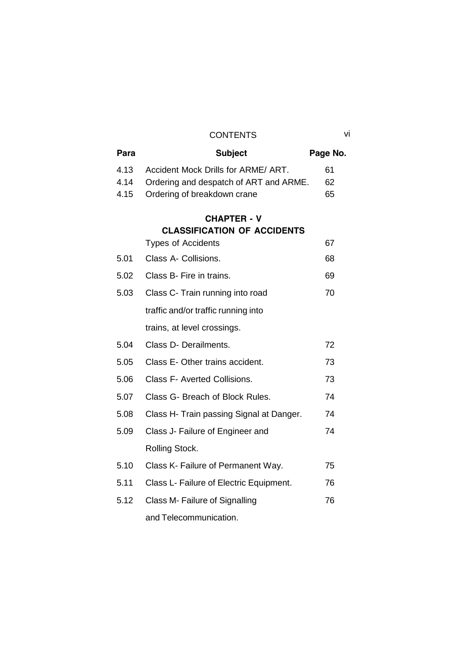| Para | <b>Subject</b>                           | Page No. |
|------|------------------------------------------|----------|
| 4.13 | Accident Mock Drills for ARME/ ART.      | 61       |
| 4.14 | Ordering and despatch of ART and ARME.   | 62       |
| 4.15 | Ordering of breakdown crane              | 65       |
|      | <b>CHAPTER - V</b>                       |          |
|      | <b>CLASSIFICATION OF ACCIDENTS</b>       |          |
|      | <b>Types of Accidents</b>                | 67       |
| 5.01 | Class A- Collisions.                     | 68       |
| 5.02 | Class B- Fire in trains.                 | 69       |
| 5.03 | Class C- Train running into road         | 70       |
|      | traffic and/or traffic running into      |          |
|      | trains, at level crossings.              |          |
| 5.04 | Class D- Derailments.                    | 72       |
| 5.05 | Class E- Other trains accident.          | 73       |
| 5.06 | <b>Class F- Averted Collisions.</b>      | 73       |
| 5.07 | Class G- Breach of Block Rules.          | 74       |
| 5.08 | Class H- Train passing Signal at Danger. | 74       |
| 5.09 | Class J- Failure of Engineer and         | 74       |
|      | Rolling Stock.                           |          |
| 5.10 | Class K- Failure of Permanent Way.       | 75       |
| 5.11 | Class L- Failure of Electric Equipment.  | 76       |
| 5.12 | Class M- Failure of Signalling           | 76       |
|      | and Telecommunication.                   |          |

vi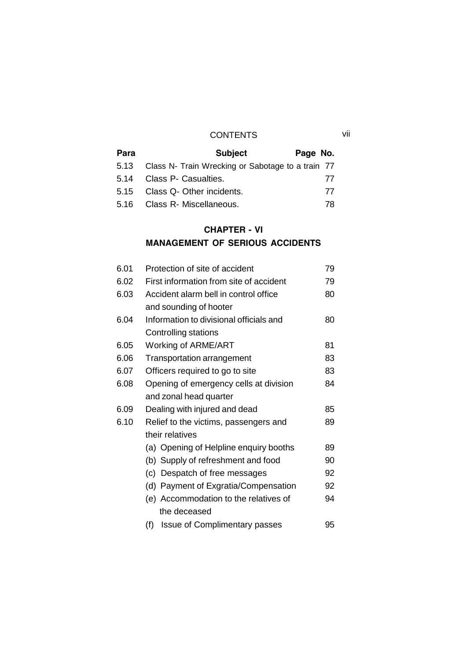## CONTENTS vii

| Para | <b>Subject</b>                                         | Page No. |  |
|------|--------------------------------------------------------|----------|--|
|      | 5.13 Class N- Train Wrecking or Sabotage to a train 77 |          |  |
| 5.14 | Class P- Casualties.                                   | 77       |  |
|      | 5.15 Class Q- Other incidents.                         | 77       |  |
|      | 5.16 Class R- Miscellaneous.                           | 78       |  |

# **CHAPTER - VI MANAGEMENT OF SERIOUS ACCIDENTS**

| 6.01 | Protection of site of accident              | 79 |  |
|------|---------------------------------------------|----|--|
| 6.02 | First information from site of accident     | 79 |  |
| 6.03 | Accident alarm bell in control office       | 80 |  |
|      | and sounding of hooter                      |    |  |
| 6.04 | Information to divisional officials and     | 80 |  |
|      | Controlling stations                        |    |  |
| 6.05 | Working of ARME/ART                         | 81 |  |
| 6.06 | <b>Transportation arrangement</b>           | 83 |  |
| 6.07 | Officers required to go to site             | 83 |  |
| 6.08 | Opening of emergency cells at division      | 84 |  |
|      | and zonal head quarter                      |    |  |
| 6.09 | Dealing with injured and dead               | 85 |  |
| 6.10 | Relief to the victims, passengers and       | 89 |  |
|      | their relatives                             |    |  |
|      | (a) Opening of Helpline enquiry booths      | 89 |  |
|      | (b) Supply of refreshment and food          | 90 |  |
|      | Despatch of free messages<br>(c)            | 92 |  |
|      | Payment of Exgratia/Compensation<br>(d)     | 92 |  |
|      | (e) Accommodation to the relatives of       | 94 |  |
|      | the deceased                                |    |  |
|      | <b>Issue of Complimentary passes</b><br>(f) | 95 |  |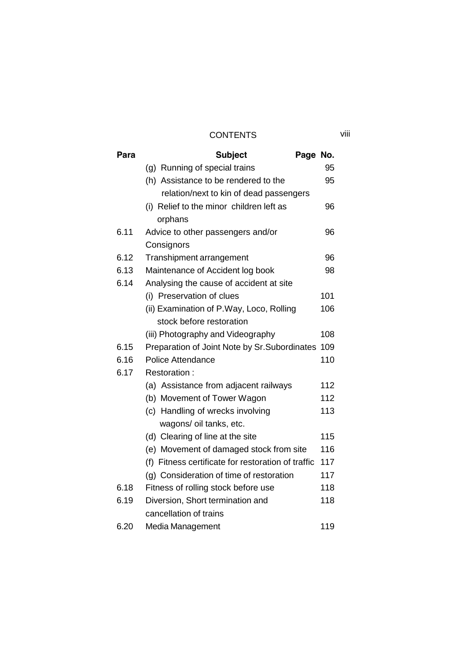| Para | <b>Subject</b>                                     | Page No. |     |  |
|------|----------------------------------------------------|----------|-----|--|
|      | (g) Running of special trains                      |          | 95  |  |
|      | (h) Assistance to be rendered to the               |          | 95  |  |
|      | relation/next to kin of dead passengers            |          |     |  |
|      | (i) Relief to the minor children left as           |          | 96  |  |
|      | orphans                                            |          |     |  |
| 6.11 | Advice to other passengers and/or                  |          | 96  |  |
|      | Consignors                                         |          |     |  |
| 6.12 | Transhipment arrangement                           |          | 96  |  |
| 6.13 | Maintenance of Accident log book                   |          | 98  |  |
| 6.14 | Analysing the cause of accident at site            |          |     |  |
|      | (i) Preservation of clues                          |          | 101 |  |
|      | (ii) Examination of P.Way, Loco, Rolling           |          | 106 |  |
|      | stock before restoration                           |          |     |  |
|      | (iii) Photography and Videography                  |          | 108 |  |
| 6.15 | Preparation of Joint Note by Sr. Subordinates      |          | 109 |  |
| 6.16 | Police Attendance                                  |          | 110 |  |
| 6.17 | Restoration:                                       |          |     |  |
|      | (a) Assistance from adjacent railways              |          | 112 |  |
|      | (b) Movement of Tower Wagon                        |          | 112 |  |
|      | (c) Handling of wrecks involving                   |          | 113 |  |
|      | wagons/ oil tanks, etc.                            |          |     |  |
|      | (d) Clearing of line at the site                   |          | 115 |  |
|      | (e) Movement of damaged stock from site            |          | 116 |  |
|      | (f) Fitness certificate for restoration of traffic |          | 117 |  |
|      | (g) Consideration of time of restoration           |          | 117 |  |
| 6.18 | Fitness of rolling stock before use                |          | 118 |  |
| 6.19 | Diversion, Short termination and                   |          | 118 |  |
|      | cancellation of trains                             |          |     |  |
| 6.20 | Media Management                                   |          | 119 |  |

viii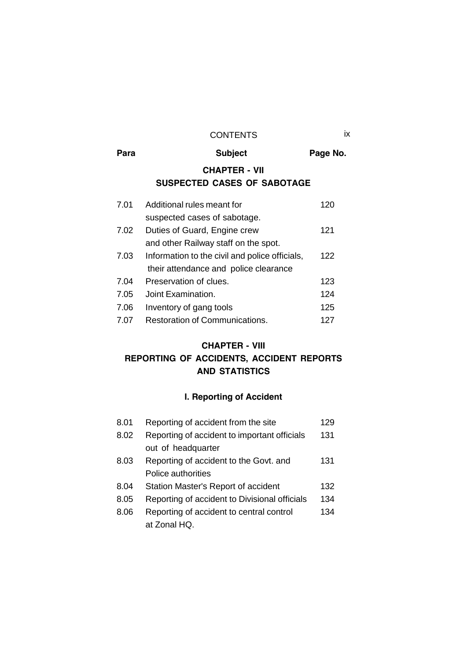### CONTENTS ix

| Para | <b>Subject</b>                                 | Page No. |
|------|------------------------------------------------|----------|
|      | <b>CHAPTER - VII</b>                           |          |
|      | <b>SUSPECTED CASES OF SABOTAGE</b>             |          |
| 7.01 | Additional rules meant for                     | 120      |
|      | suspected cases of sabotage.                   |          |
| 7.02 | Duties of Guard, Engine crew                   | 121      |
|      | and other Railway staff on the spot.           |          |
| 7.03 | Information to the civil and police officials, | 122      |
|      | their attendance and police clearance          |          |
| 7.04 | Preservation of clues.                         | 123      |
| 7.05 | Joint Examination.                             | 124      |
| 7.06 | Inventory of gang tools                        | 125      |
| 7.07 | Restoration of Communications.                 | 127      |

# **CHAPTER - VIII REPORTING OF ACCIDENTS, ACCIDENT REPORTS AND STATISTICS**

# **I. Reporting of Accident**

| 8.01 | Reporting of accident from the site           | 129 |
|------|-----------------------------------------------|-----|
| 8.02 | Reporting of accident to important officials  | 131 |
|      | out of headquarter                            |     |
| 8.03 | Reporting of accident to the Govt. and        | 131 |
|      | Police authorities                            |     |
| 8.04 | Station Master's Report of accident           | 132 |
| 8.05 | Reporting of accident to Divisional officials | 134 |
| 8.06 | Reporting of accident to central control      | 134 |
|      | at Zonal HQ.                                  |     |
|      |                                               |     |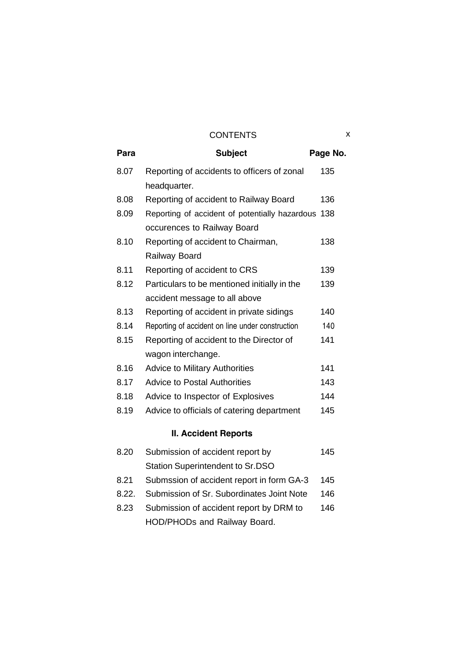| Para | <b>Subject</b>                                     | Page No. |
|------|----------------------------------------------------|----------|
| 8.07 | Reporting of accidents to officers of zonal        | 135      |
|      | headquarter.                                       |          |
| 8.08 | Reporting of accident to Railway Board             | 136      |
| 8.09 | Reporting of accident of potentially hazardous 138 |          |
|      | occurences to Railway Board                        |          |
| 8.10 | Reporting of accident to Chairman,                 | 138      |
|      | Railway Board                                      |          |
| 8.11 | Reporting of accident to CRS                       | 139      |
| 8.12 | Particulars to be mentioned initially in the       | 139      |
|      | accident message to all above                      |          |
| 8.13 | Reporting of accident in private sidings           | 140      |
| 8.14 | Reporting of accident on line under construction   | 140      |
| 8.15 | Reporting of accident to the Director of           | 141      |
|      | wagon interchange.                                 |          |
| 8.16 | <b>Advice to Military Authorities</b>              | 141      |
| 8.17 | <b>Advice to Postal Authorities</b>                | 143      |
| 8.18 | Advice to Inspector of Explosives                  | 144      |
| 8.19 | Advice to officials of catering department         | 145      |
|      |                                                    |          |

# **II. Accident Reports**

| 8.20  | Submission of accident report by          | 145 |
|-------|-------------------------------------------|-----|
|       | Station Superintendent to Sr.DSO          |     |
| 8.21  | Submssion of accident report in form GA-3 | 145 |
| 8.22. | Submission of Sr. Subordinates Joint Note | 146 |
| 8.23  | Submission of accident report by DRM to   | 146 |
|       | HOD/PHODs and Railway Board.              |     |
|       |                                           |     |

x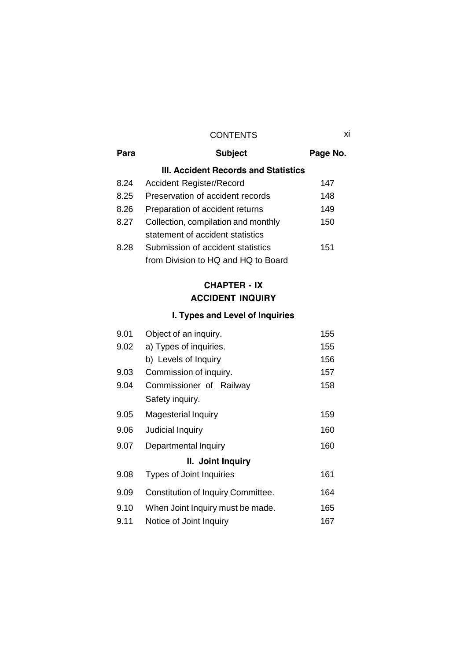| Para | <b>Subject</b>                       | Page No. |
|------|--------------------------------------|----------|
|      | III. Accident Records and Statistics |          |
| 8.24 | <b>Accident Register/Record</b>      | 147      |
| 8.25 | Preservation of accident records     | 148      |
| 8.26 | Preparation of accident returns      | 149      |
| 8.27 | Collection, compilation and monthly  | 150      |
|      | statement of accident statistics     |          |
| 8.28 | Submission of accident statistics    | 151      |
|      | from Division to HQ and HQ to Board  |          |

# **CHAPTER - IX ACCIDENT INQUIRY**

# **I. Types and Level of Inquiries**

| 9.01 | Object of an inquiry.                     | 155 |  |
|------|-------------------------------------------|-----|--|
| 9.02 | a) Types of inquiries.                    | 155 |  |
|      | b) Levels of Inquiry                      | 156 |  |
| 9.03 | Commission of inquiry.                    | 157 |  |
| 9.04 | Commissioner of Railway                   | 158 |  |
|      | Safety inquiry.                           |     |  |
| 9.05 | <b>Magesterial Inquiry</b>                | 159 |  |
| 9.06 | Judicial Inquiry                          | 160 |  |
| 9.07 | Departmental Inquiry                      | 160 |  |
|      | II. Joint Inquiry                         |     |  |
| 9.08 | <b>Types of Joint Inquiries</b>           | 161 |  |
| 9.09 | <b>Constitution of Inquiry Committee.</b> | 164 |  |
| 9.10 | When Joint Inquiry must be made.          | 165 |  |
| 9.11 | Notice of Joint Inquiry                   | 167 |  |

xi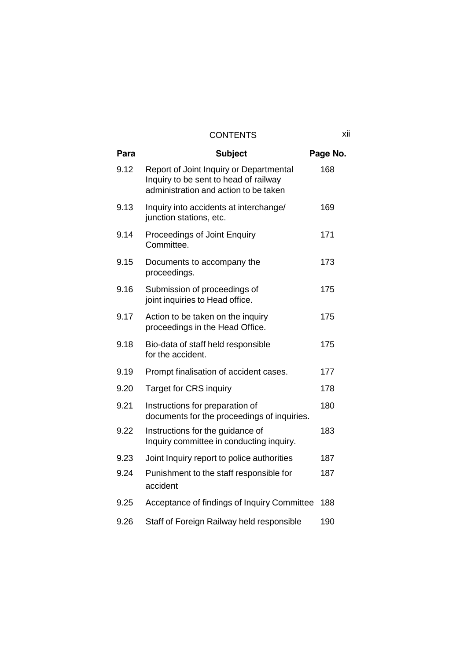| Para | <b>Subject</b>                                                                                                            | Page No. |
|------|---------------------------------------------------------------------------------------------------------------------------|----------|
| 9.12 | Report of Joint Inquiry or Departmental<br>Inquiry to be sent to head of railway<br>administration and action to be taken | 168      |
| 9.13 | Inquiry into accidents at interchange/<br>junction stations, etc.                                                         | 169      |
| 9.14 | Proceedings of Joint Enquiry<br>Committee.                                                                                | 171      |
| 9.15 | Documents to accompany the<br>proceedings.                                                                                | 173      |
| 9.16 | Submission of proceedings of<br>joint inquiries to Head office.                                                           | 175      |
| 9.17 | Action to be taken on the inquiry<br>proceedings in the Head Office.                                                      | 175      |
| 9.18 | Bio-data of staff held responsible<br>for the accident.                                                                   | 175      |
| 9.19 | Prompt finalisation of accident cases.                                                                                    | 177      |
| 9.20 | <b>Target for CRS inquiry</b>                                                                                             | 178      |
| 9.21 | Instructions for preparation of<br>documents for the proceedings of inquiries.                                            | 180      |
| 9.22 | Instructions for the guidance of<br>Inquiry committee in conducting inquiry.                                              | 183      |
| 9.23 | Joint Inquiry report to police authorities                                                                                | 187      |
| 9.24 | Punishment to the staff responsible for<br>accident                                                                       | 187      |
| 9.25 | Acceptance of findings of Inquiry Committee                                                                               | 188      |
| 9.26 | Staff of Foreign Railway held responsible                                                                                 | 190      |

xii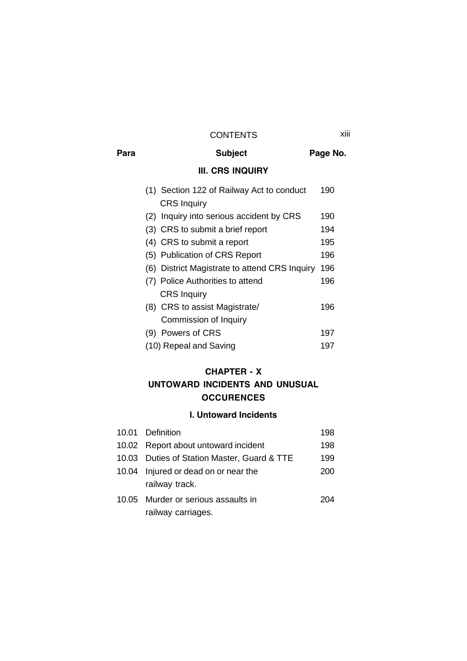#### CONTENTS xiii

Para **Subject Page No. III. CRS INQUIRY** (1) Section 122 of Railway Act to conduct 190 CRS Inquiry (2) Inquiry into serious accident by CRS 190 (3) CRS to submit a brief report 194 (4) CRS to submit a report 195 (5) Publication of CRS Report 196 (6) District Magistrate to attend CRS Inquiry 196 (7) Police Authorities to attend 196 CRS Inquiry (8) CRS to assist Magistrate/ 196 Commission of Inquiry (9) Powers of CRS 197 (10) Repeal and Saving 197

#### **CHAPTER - X**

## **UNTOWARD INCIDENTS AND UNUSUAL OCCURENCES**

#### **I. Untoward Incidents**

| 10.01 Definition                            | 198 |  |
|---------------------------------------------|-----|--|
| 10.02 Report about untoward incident        | 198 |  |
| 10.03 Duties of Station Master, Guard & TTE | 199 |  |
| 10.04 Injured or dead on or near the        | 200 |  |
| railway track.                              |     |  |
| 10.05 Murder or serious assaults in         | 204 |  |
| railway carriages.                          |     |  |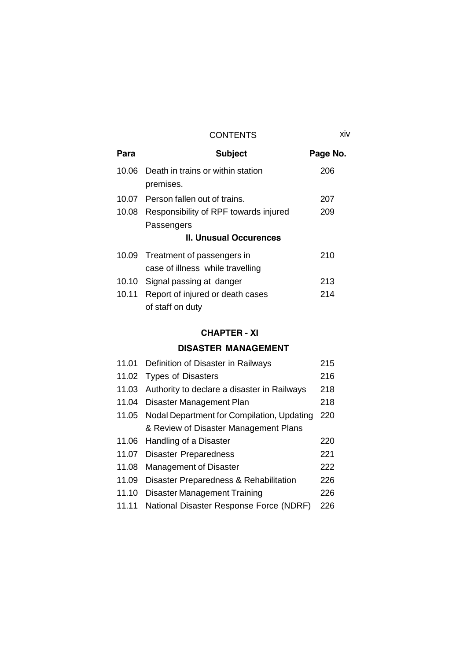xiv

| Para  | <b>Subject</b>                              | Page No. |  |
|-------|---------------------------------------------|----------|--|
|       | 10.06 Death in trains or within station     | 206      |  |
|       | premises.                                   |          |  |
|       | 10.07 Person fallen out of trains.          | 207      |  |
|       | 10.08 Responsibility of RPF towards injured | 209      |  |
|       | Passengers                                  |          |  |
|       | <b>II. Unusual Occurences</b>               |          |  |
| 10.09 | Treatment of passengers in                  | 210      |  |
|       | case of illness while travelling            |          |  |
| 10.10 | Signal passing at danger                    | 213      |  |
| 10.11 | Report of injured or death cases            | 214      |  |
|       | of staff on duty                            |          |  |

## **CHAPTER - XI**

## **DISASTER MANAGEMENT**

|       | 11.01 Definition of Disaster in Railways          | 215 |
|-------|---------------------------------------------------|-----|
|       | 11.02 Types of Disasters                          | 216 |
|       | 11.03 Authority to declare a disaster in Railways | 218 |
|       | 11.04 Disaster Management Plan                    | 218 |
|       | 11.05 Nodal Department for Compilation, Updating  | 220 |
|       | & Review of Disaster Management Plans             |     |
|       | 11.06 Handling of a Disaster                      | 220 |
|       | 11.07 Disaster Preparedness                       | 221 |
|       | 11.08 Management of Disaster                      | 222 |
| 11.09 | Disaster Preparedness & Rehabilitation            | 226 |
| 11.10 | <b>Disaster Management Training</b>               | 226 |
| 11.11 | National Disaster Response Force (NDRF)           | 226 |
|       |                                                   |     |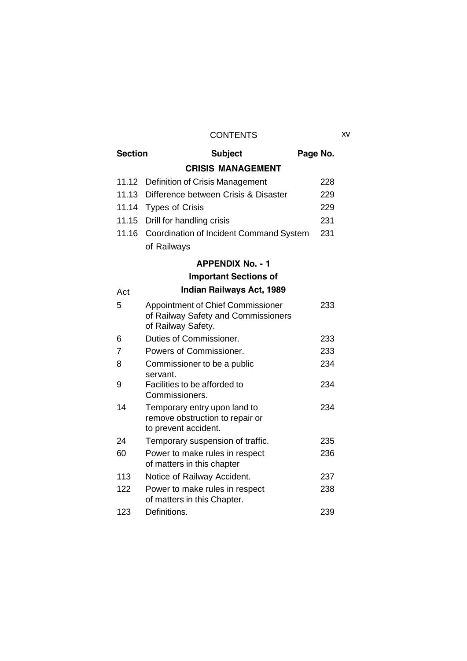## CONTENTS xv

| <b>Section</b> | <b>Subject</b>                                                                                 | Page No. |     |
|----------------|------------------------------------------------------------------------------------------------|----------|-----|
|                | <b>CRISIS MANAGEMENT</b>                                                                       |          |     |
| 11.12          | Definition of Crisis Management                                                                |          | 228 |
| 11.13          | Difference between Crisis & Disaster                                                           |          | 229 |
| 11.14          | <b>Types of Crisis</b>                                                                         |          | 229 |
| 11.15          | Drill for handling crisis                                                                      |          | 231 |
| 11.16          | Coordination of Incident Command System                                                        |          | 231 |
|                | of Railways                                                                                    |          |     |
|                | <b>APPENDIX No. - 1</b>                                                                        |          |     |
|                | <b>Important Sections of</b>                                                                   |          |     |
| Act            | <b>Indian Railways Act, 1989</b>                                                               |          |     |
| 5              | Appointment of Chief Commissioner<br>of Railway Safety and Commissioners<br>of Railway Safety. |          | 233 |
| 6              | Duties of Commissioner.                                                                        |          | 233 |
| 7              | Powers of Commissioner.                                                                        |          | 233 |
| 8              | Commissioner to be a public<br>servant.                                                        |          | 234 |
| 9              | Facilities to be afforded to<br>Commissioners.                                                 |          | 234 |
| 14             | Temporary entry upon land to<br>remove obstruction to repair or<br>to prevent accident.        |          | 234 |
| 24             | Temporary suspension of traffic.                                                               |          | 235 |
| 60             | Power to make rules in respect<br>of matters in this chapter                                   |          | 236 |
| 113            | Notice of Railway Accident.                                                                    |          | 237 |
| 122            | Power to make rules in respect<br>of matters in this Chapter.                                  |          | 238 |
| 123            | Definitions.                                                                                   |          | 239 |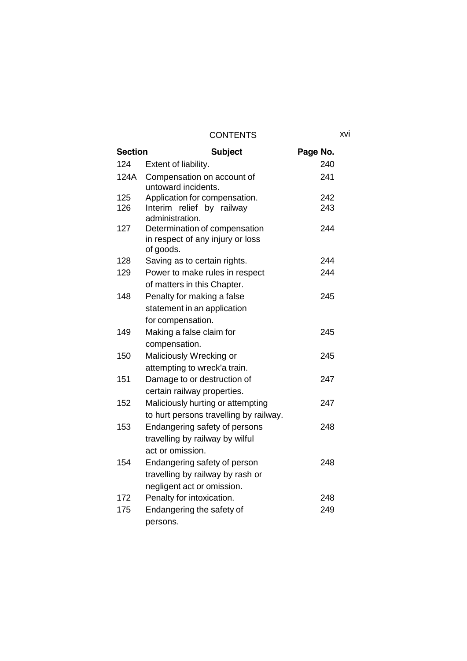| <b>Section</b> | <b>Subject</b>                                                                       | Page No. |  |
|----------------|--------------------------------------------------------------------------------------|----------|--|
| 124            | Extent of liability.                                                                 | 240      |  |
| 124A           | Compensation on account of<br>untoward incidents.                                    | 241      |  |
| 125            | Application for compensation.                                                        | 242      |  |
| 126            | Interim relief by railway<br>administration.                                         | 243      |  |
| 127            | Determination of compensation<br>in respect of any injury or loss<br>of goods.       | 244      |  |
| 128            | Saving as to certain rights.                                                         | 244      |  |
| 129            | Power to make rules in respect<br>of matters in this Chapter.                        | 244      |  |
| 148            | Penalty for making a false<br>statement in an application                            | 245      |  |
|                | for compensation.                                                                    |          |  |
| 149            | Making a false claim for<br>compensation.                                            | 245      |  |
| 150            | Maliciously Wrecking or                                                              | 245      |  |
|                | attempting to wreck'a train.                                                         |          |  |
| 151            | Damage to or destruction of<br>certain railway properties.                           | 247      |  |
| 152            | Maliciously hurting or attempting<br>to hurt persons travelling by railway.          | 247      |  |
| 153            | Endangering safety of persons<br>travelling by railway by wilful<br>act or omission. | 248      |  |
| 154            | Endangering safety of person<br>travelling by railway by rash or                     | 248      |  |
|                | negligent act or omission.                                                           |          |  |
| 172            | Penalty for intoxication.                                                            | 248      |  |
| 175            | Endangering the safety of<br>persons.                                                | 249      |  |

xvi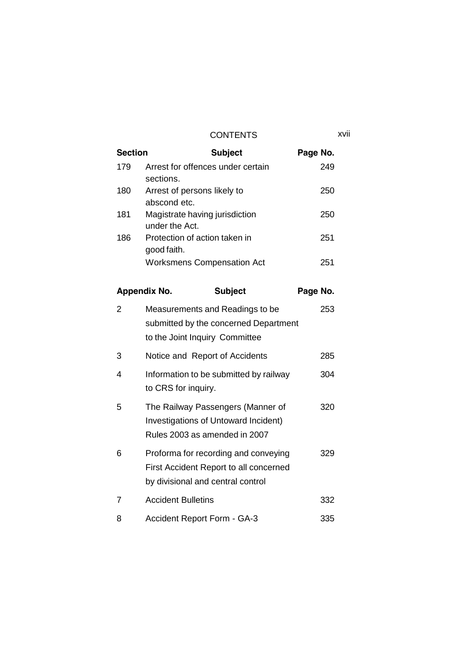CONTENTS xvii

| <b>Section</b> | <b>Subject</b>                                   | Page No. |
|----------------|--------------------------------------------------|----------|
| 179            | Arrest for offences under certain<br>sections.   | 249      |
| 180            | Arrest of persons likely to<br>abscond etc.      | 250      |
| 181            | Magistrate having jurisdiction<br>under the Act. | 250      |
| 186            | Protection of action taken in<br>good faith.     | 251      |
|                | <b>Worksmens Compensation Act</b>                | 251      |

|   | <b>Appendix No.</b>                                                   | <b>Subject</b>                                                                 | Page No. |  |
|---|-----------------------------------------------------------------------|--------------------------------------------------------------------------------|----------|--|
| 2 | Measurements and Readings to be<br>to the Joint Inquiry Committee     | submitted by the concerned Department                                          | 253      |  |
| 3 | Notice and Report of Accidents                                        |                                                                                | 285      |  |
| 4 | to CRS for inquiry.                                                   | Information to be submitted by railway                                         | 304      |  |
| 5 | Investigations of Untoward Incident)<br>Rules 2003 as amended in 2007 | The Railway Passengers (Manner of                                              | 320      |  |
| 6 | by divisional and central control                                     | Proforma for recording and conveying<br>First Accident Report to all concerned | 329      |  |
| 7 | <b>Accident Bulletins</b>                                             |                                                                                | 332      |  |
| 8 | <b>Accident Report Form - GA-3</b>                                    |                                                                                | 335      |  |